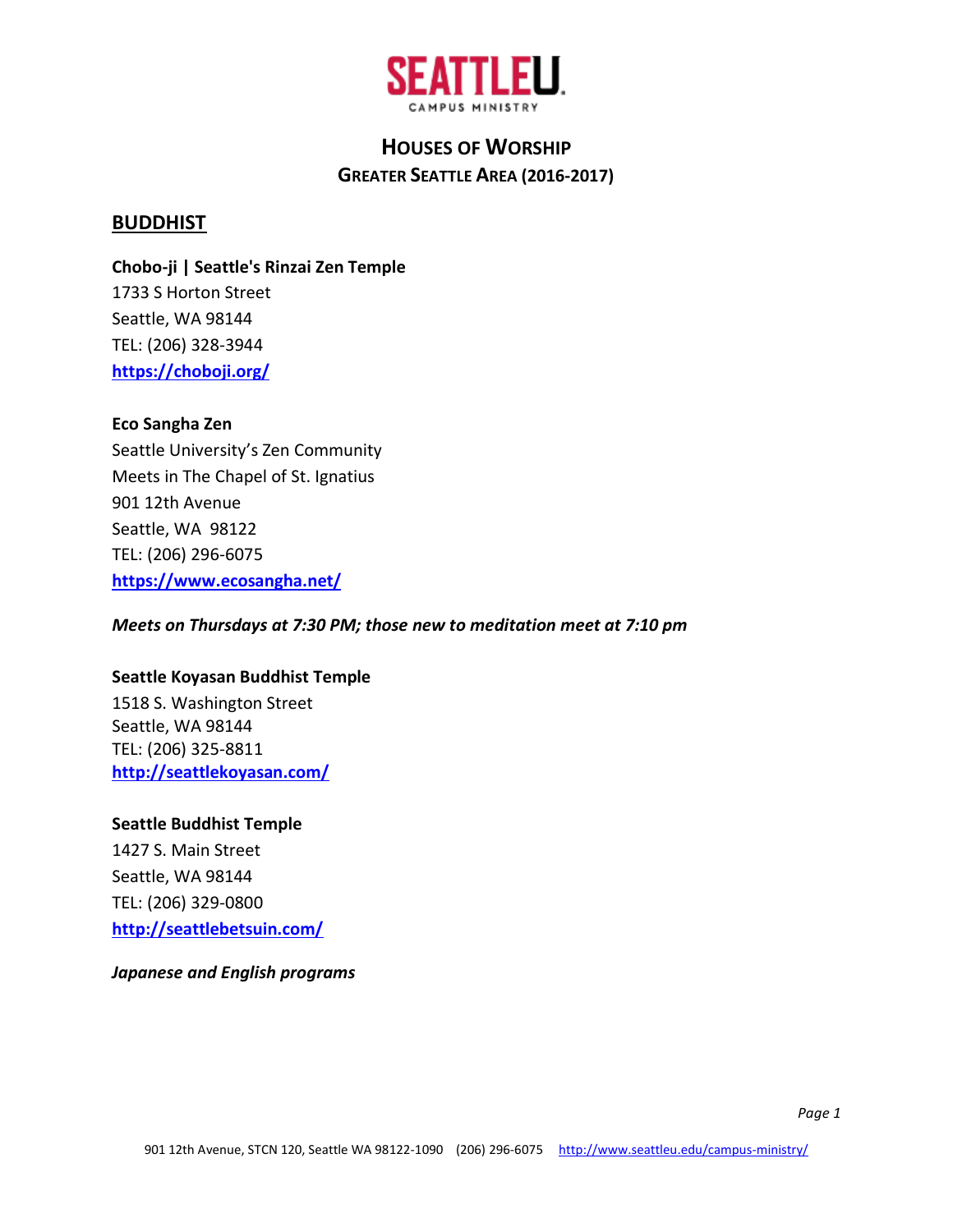

### **BUDDHIST**

**Chobo-ji | Seattle's Rinzai Zen Temple** 1733 S Horton Street Seattle, WA 98144 TEL: (206) 328-3944 **<https://choboji.org/>**

#### **Eco Sangha Zen**

Seattle University's Zen Community Meets in The Chapel of St. Ignatius 901 12th Avenue Seattle, WA 98122 TEL: (206) 296-6075 **<https://www.ecosangha.net/>**

*Meets on Thursdays at 7:30 PM; those new to meditation meet at 7:10 pm*

#### **Seattle Koyasan Buddhist Temple**

1518 S. Washington Street Seattle, WA 98144 TEL: (206) 325-8811 **<http://seattlekoyasan.com/>**

#### **Seattle Buddhist Temple**

1427 S. Main Street Seattle, WA 98144 TEL: (206) 329-0800 **<http://seattlebetsuin.com/>**

*Japanese and English programs*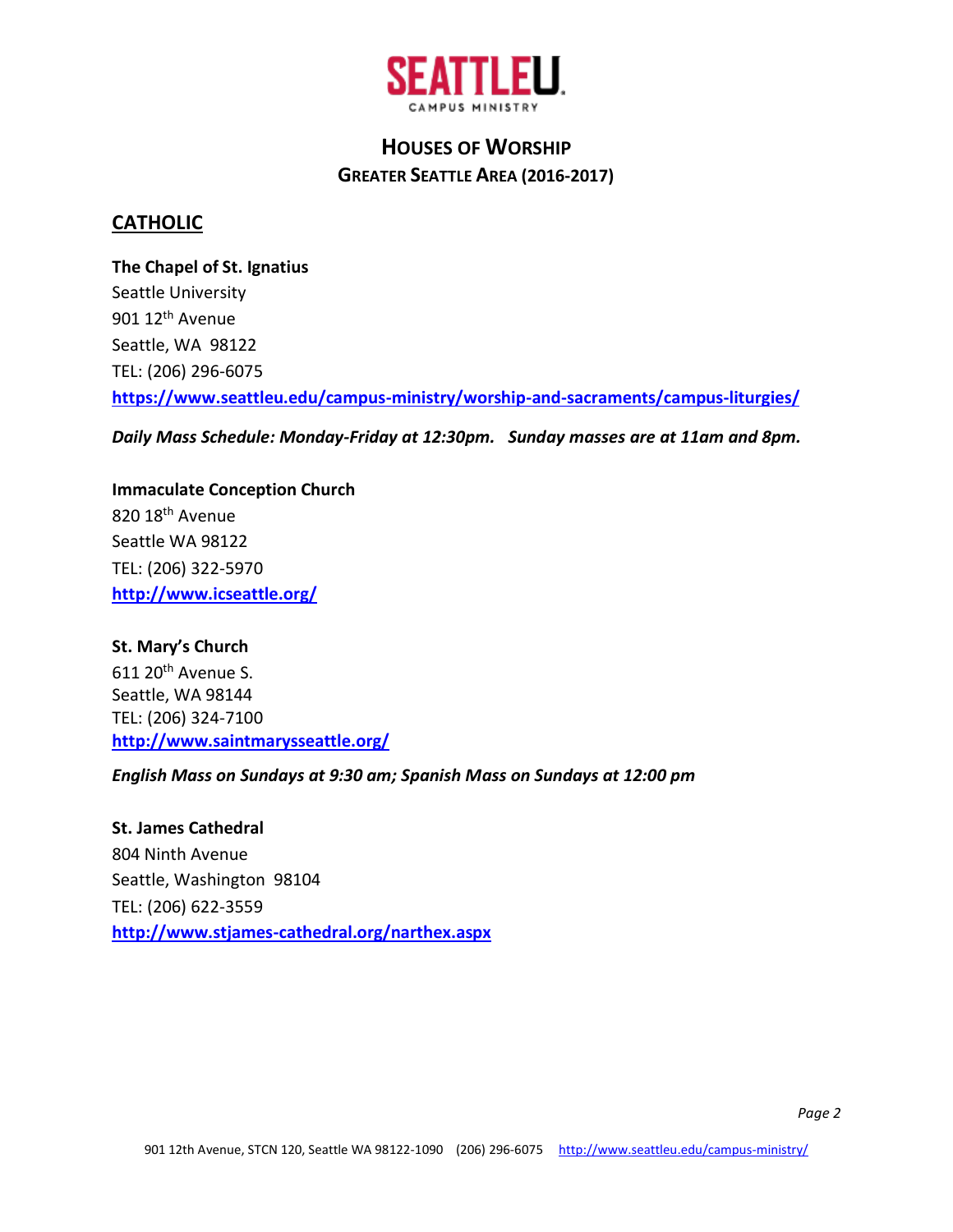

### **CATHOLIC**

**The Chapel of St. Ignatius** Seattle University 901 12<sup>th</sup> Avenue Seattle, WA 98122 TEL: (206) 296-6075 **<https://www.seattleu.edu/campus-ministry/worship-and-sacraments/campus-liturgies/>**

*Daily Mass Schedule: Monday-Friday at 12:30pm. Sunday masses are at 11am and 8pm.*

**Immaculate Conception Church** 820 18<sup>th</sup> Avenue Seattle WA 98122 TEL: (206) 322-5970 **<http://www.icseattle.org/>**

**St. Mary's Church** 611 20<sup>th</sup> Avenue S. Seattle, WA 98144 TEL: (206) 324-7100 **<http://www.saintmarysseattle.org/>**

*English Mass on Sundays at 9:30 am; Spanish Mass on Sundays at 12:00 pm*

**St. James Cathedral** 804 Ninth Avenue Seattle, Washington 98104 TEL: (206) 622-3559 **<http://www.stjames-cathedral.org/narthex.aspx>**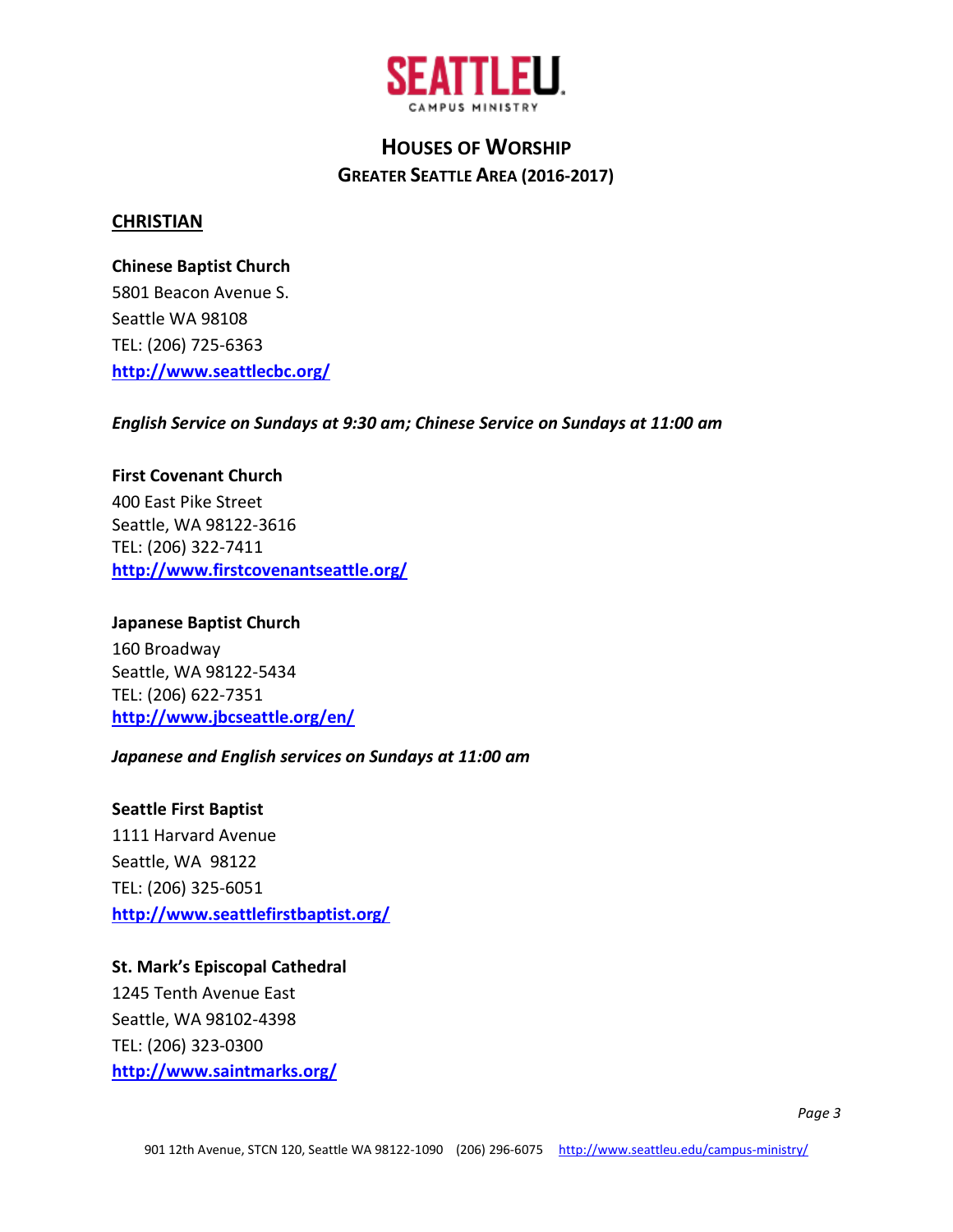

#### **CHRISTIAN**

**Chinese Baptist Church** 5801 Beacon Avenue S. Seattle WA 98108 TEL: (206) 725-6363 **<http://www.seattlecbc.org/>**

*English Service on Sundays at 9:30 am; Chinese Service on Sundays at 11:00 am*

**First Covenant Church** 400 East Pike Street Seattle, WA 98122-3616 TEL: (206) 322-7411 **<http://www.firstcovenantseattle.org/>**

**Japanese Baptist Church** 160 Broadway Seattle, WA 98122-5434 TEL: (206) 622-7351 **<http://www.jbcseattle.org/en/>**

#### *Japanese and English services on Sundays at 11:00 am*

**Seattle First Baptist** 1111 Harvard Avenue Seattle, WA 98122 TEL: (206) 325-6051 **<http://www.seattlefirstbaptist.org/>**

**St. Mark's Episcopal Cathedral** 1245 Tenth Avenue East Seattle, WA 98102-4398 TEL: (206) 323-0300 **<http://www.saintmarks.org/>**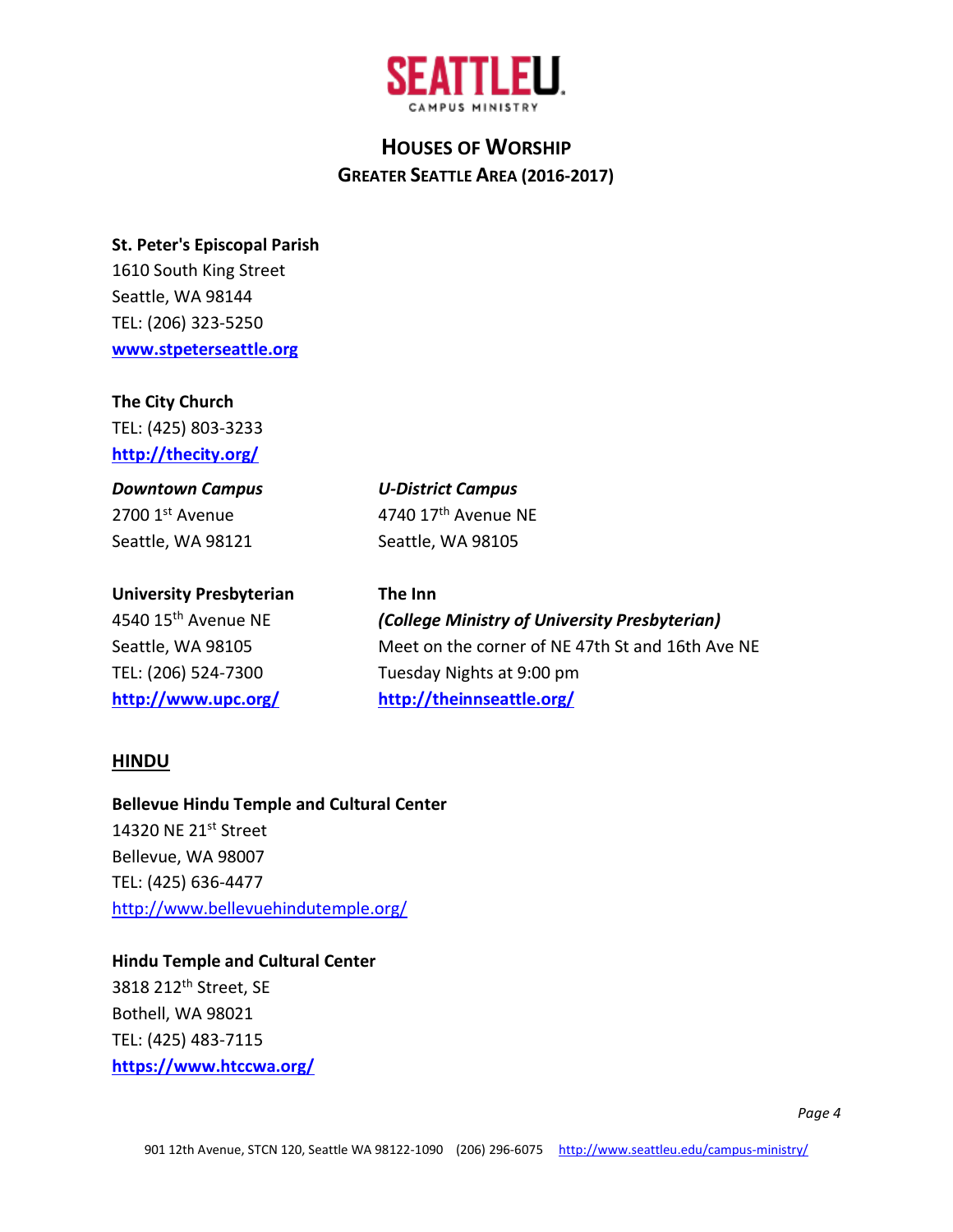

#### **St. Peter's Episcopal Parish**

1610 South King Street Seattle, WA 98144 TEL: (206) 323-5250 **[www.stpeterseattle.org](http://www.stpeterseattle.org/)**

### **The City Church**

TEL: (425) 803-3233 **http://thecity.org/**

## *Downtown Campus* 2700 1st Avenue Seattle, WA 98121

**University Presbyterian**

4540 15th Avenue NE Seattle, WA 98105 TEL: (206) 524-7300 **<http://www.upc.org/>** *U-District Campus* 4740 17th Avenue NE Seattle, WA 98105

# **The Inn**

*(College Ministry of University Presbyterian)* Meet on the corner of NE 47th St and 16th Ave NE Tuesday Nights at 9:00 pm **<http://theinnseattle.org/>**

### **HINDU**

#### **[Bellevue Hindu Temple](https://www.yelp.com/biz/bellevue-hindu-temple-bellevue) and Cultural Center**

14320 NE 21<sup>st</sup> Street Bellevue, WA 98007 TEL: (425) 636-4477 <http://www.bellevuehindutemple.org/>

### **Hindu Temple and Cultural Center**

3818 212th Street, SE Bothell, WA 98021 TEL: (425) 483-7115 **<https://www.htccwa.org/>**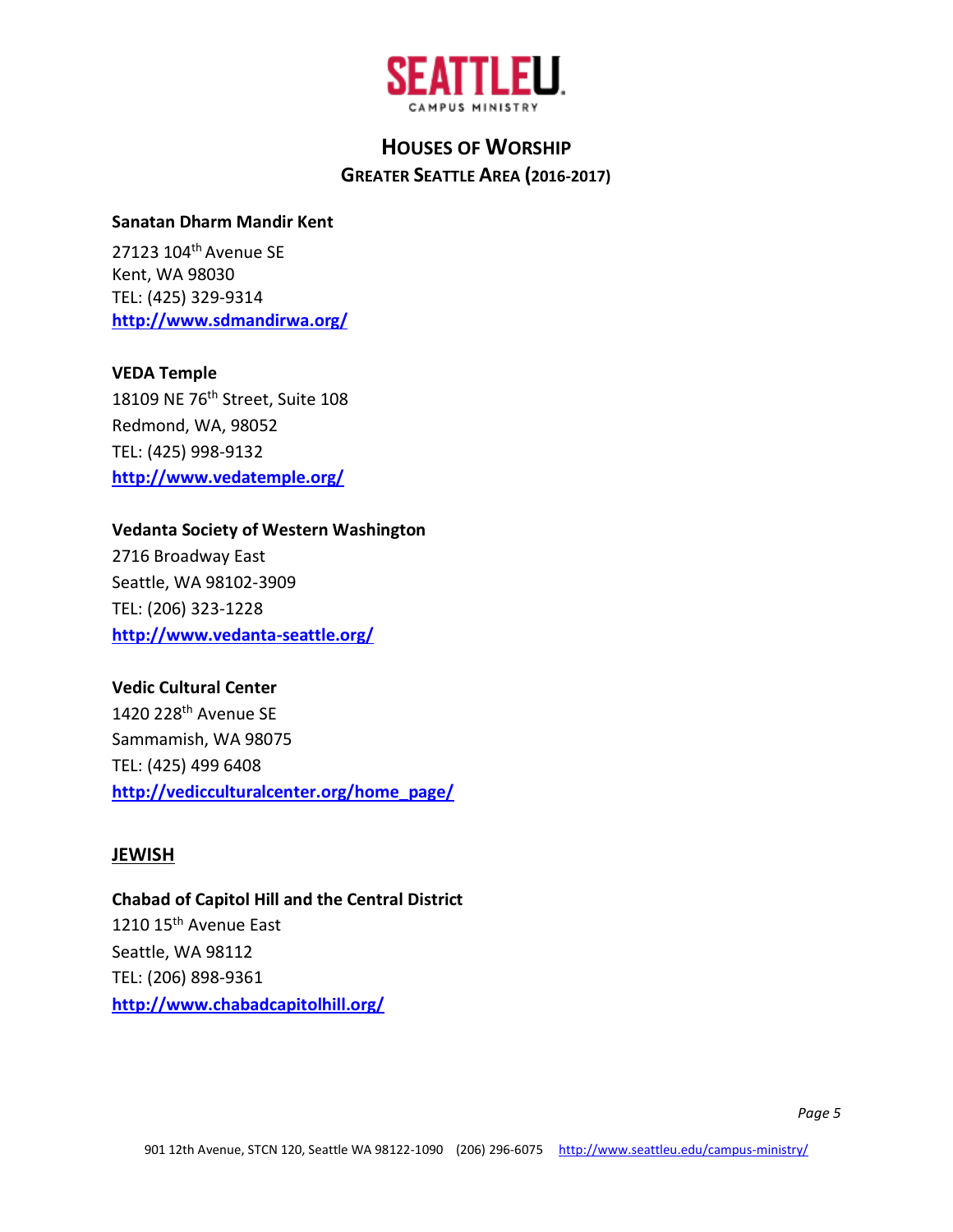

#### **Sanatan Dharm Mandir Kent**

27123 104th Avenue SE Kent, WA 98030 TEL: (425) 329-9314 **<http://www.sdmandirwa.org/>**

#### **VEDA Temple**

18109 NE 76th Street, Suite 108 Redmond, WA, 98052 TEL: (425) 998-9132 **<http://www.vedatemple.org/>**

#### **Vedanta Society of Western Washington**

2716 Broadway East Seattle, WA 98102-3909 TEL: (206) 323-1228 **<http://www.vedanta-seattle.org/>**

#### **Vedic Cultural Center**

1420 228th Avenue SE Sammamish, WA 98075 TEL: (425) 499 6408 **[http://vedicculturalcenter.org/home\\_page/](http://vedicculturalcenter.org/home_page/)**

#### **JEWISH**

**Chabad of Capitol Hill and the Central District** 1210 15<sup>th</sup> Avenue East Seattle, WA 98112 TEL: (206) 898-9361 **<http://www.chabadcapitolhill.org/>**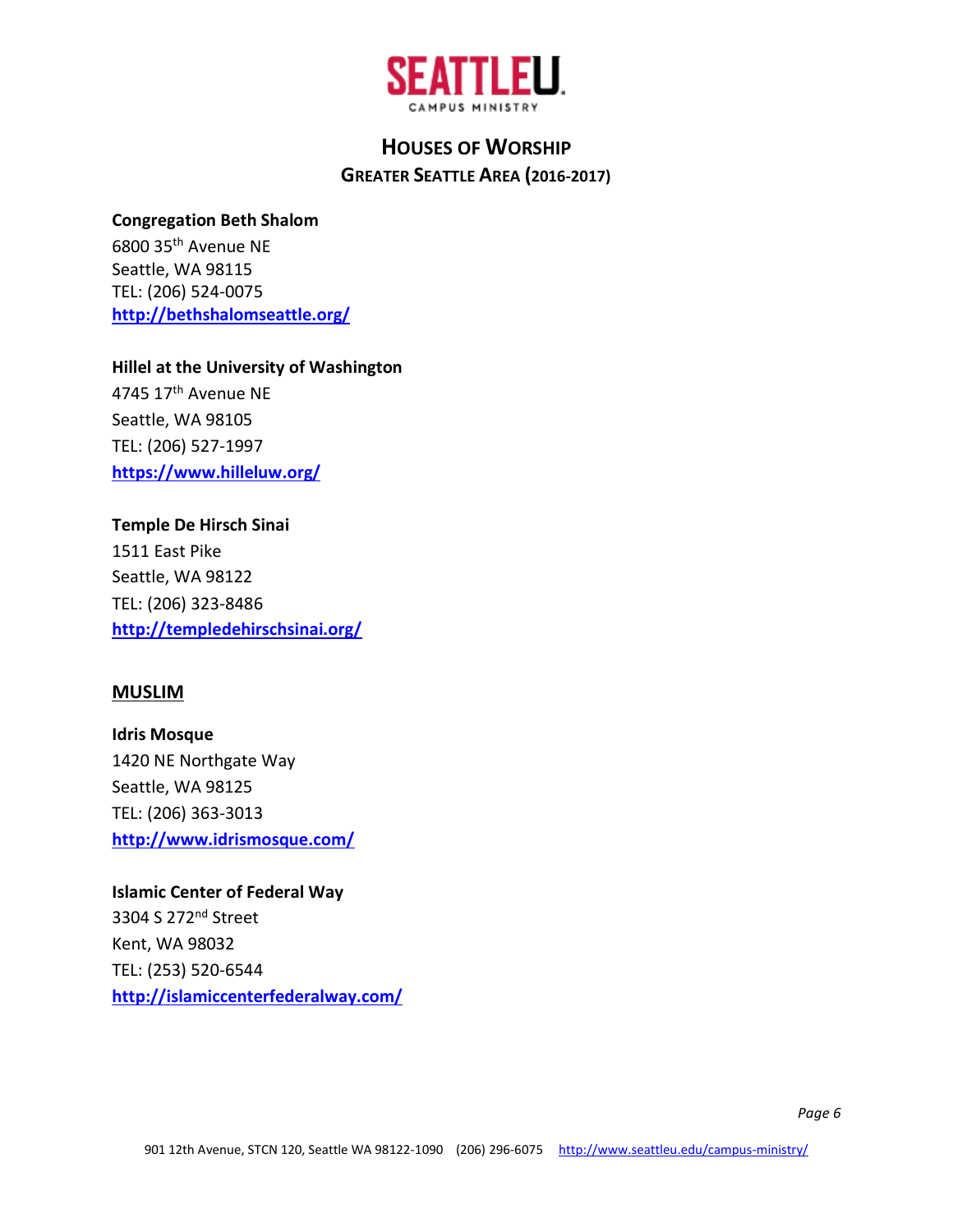

#### **Congregation Beth Shalom**

6800 35th Avenue NE Seattle, WA 98115 TEL: (206) 524-0075 **<http://bethshalomseattle.org/>**

### **Hillel at the University of Washington**

4745 17<sup>th</sup> Avenue NE Seattle, WA 98105 TEL: (206) 527-1997 **<https://www.hilleluw.org/>**

# **Temple De Hirsch Sinai**

1511 East Pike Seattle, WA 98122 TEL: (206) 323-8486 **<http://templedehirschsinai.org/>**

### **MUSLIM**

**Idris Mosque** 1420 NE Northgate Way Seattle, WA 98125 TEL: (206) 363-3013 **<http://www.idrismosque.com/>**

## **Islamic Center of Federal Way** 3304 S 272nd Street Kent, WA 98032 TEL: (253) 520-6544 **<http://islamiccenterfederalway.com/>**

*Page 6*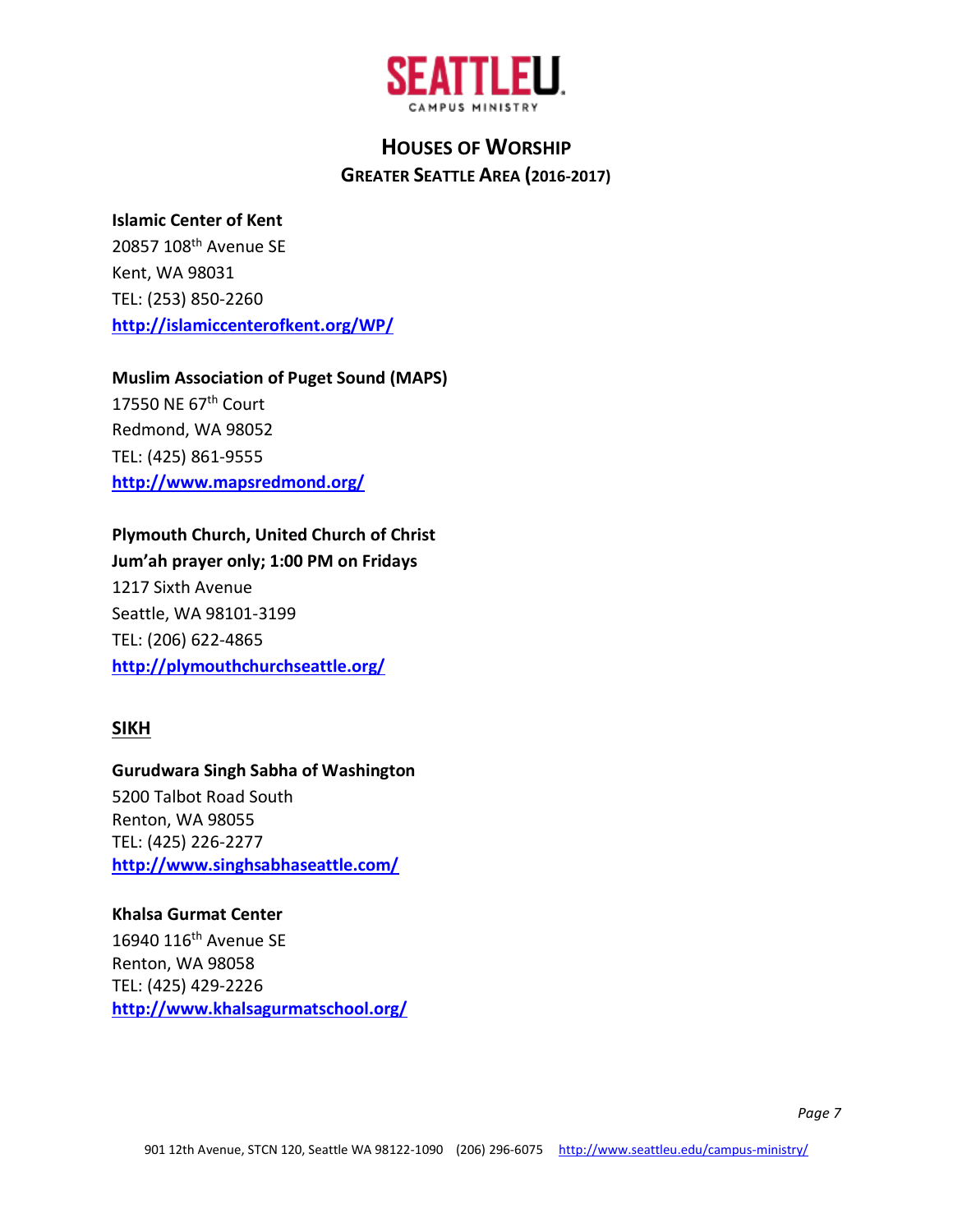

#### **Islamic Center of Kent**

20857 108th Avenue SE Kent, WA 98031 TEL: (253) 850-2260 **<http://islamiccenterofkent.org/WP/>**

#### **Muslim Association of Puget Sound (MAPS)**

17550 NE 67<sup>th</sup> Court Redmond, WA 98052 TEL: (425) 861-9555 **<http://www.mapsredmond.org/>**

### **Plymouth Church, United Church of Christ**

**Jum'ah prayer only; 1:00 PM on Fridays** 1217 Sixth Avenue Seattle, WA 98101-3199 TEL: (206) 622-4865 **<http://plymouthchurchseattle.org/>**

### **SIKH**

## **Gurudwara Singh Sabha of Washington** 5200 Talbot Road South Renton, WA 98055 TEL: (425) 226-2277

**<http://www.singhsabhaseattle.com/>**

### **Khalsa Gurmat Center**

16940 116<sup>th</sup> Avenue SE Renton, WA 98058 TEL: (425) 429-2226 **<http://www.khalsagurmatschool.org/>**